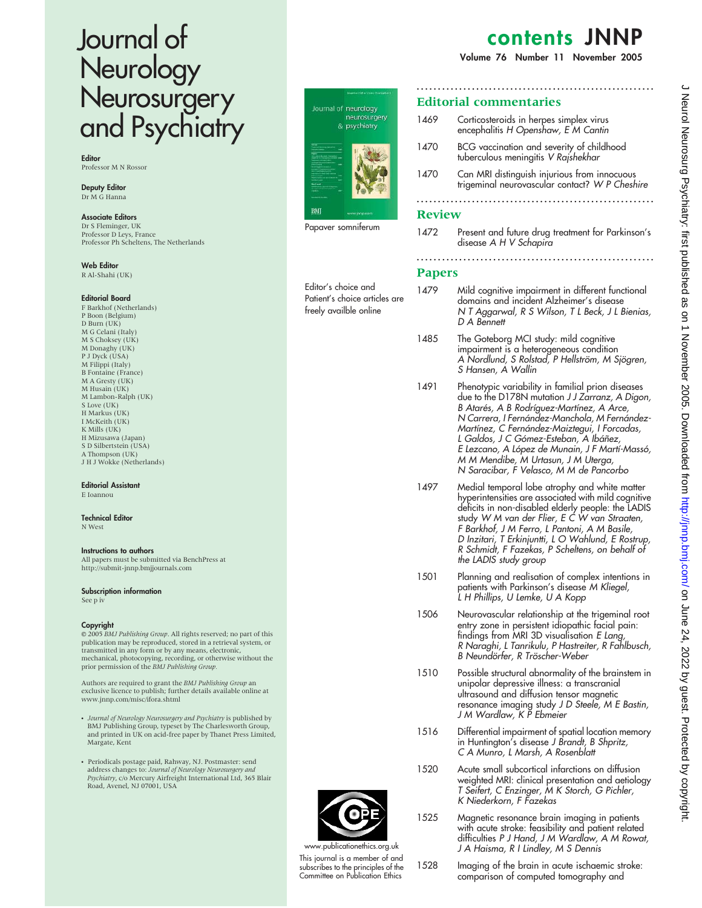# Journal of Neurology **Neurosurgery** and Psychiatry

**Editor** Professor M N Rossor

Deputy Editor Dr M G Hanna

Associate Editors

Dr S Fleminger, UK Professor D Leys, France Professor Ph Scheltens, The Netherlands

Web Editor R Al-Shahi (UK)

### Editorial Board

F Barkhof (Netherlands) P Boon (Belgium) D Burn (UK) M G Celani (Italy) M S Choksey (UK) M Donaghy (UK) P J Dyck (USA) M Filippi (Italy) B Fontaine (France) M A Gresty (UK) M Husain (UK) M Lambon-Ralph (UK) S Love (UK) H Markus (UK) I McKeith (UK) K Mills (UK) H Mizusawa (Japan) S D Silbertstein (USA) A Thompson (UK) J H J Wokke (Netherlands)

### Editorial Assistant

E Ioannou

#### Technical Editor N West

### Instructions to authors

All papers must be submitted via BenchPress at http://submit-jnnp.bmjjournals.com

# Subscription information

See p iv

### Copyright

 $© 2005$  BMJ Publishing Group. All rights reserved; no part of this publication may be reproduced, stored in a retrieval system, or transmitted in any form or by any means, electronic, mechanical, photocopying, recording, or otherwise without the<br>prior permission of the BMJ Publishing Group.

Authors are required to grant the BMJ Publishing Group an exclusive licence to publish; further details available online at www.jnnp.com/misc/ifora.shtml

- Journal of Neurology Neurosurgery and Psychiatry is published by BMJ Publishing Group, typeset by The Charlesworth Group, and printed in UK on acid-free paper by Thanet Press Limited, Margate, Kent
- Periodicals postage paid, Rahway, NJ. Postmaster: send address changes to: *Journal of Neurology Neurosurgery and*<br>*Psychiatry, c*/o Mercury Airfreight International Ltd, 365 Blair Road, Avenel, NJ 07001, USA



Editor's choice and Patient's choice articles are freely availble online

# contents JNNP

Volume 76 Number 11 November 2005

### ........................................................ Editorial commentaries 1469 Corticosteroids in herpes simplex virus encephalitis H Openshaw, E M Cantin 1470 BCG vaccination and severity of childhood tuberculous meningitis V Rajshekhar 1470 Can MRI distinguish injurious from innocuous trigeminal neurovascular contact? W P Cheshire ........................................................ Review 1472 Present and future drug treatment for Parkinson's disease A H V Schapira ........................................................ Papers 1479 Mild cognitive impairment in different functional domains and incident Alzheimer's disease N T Aggarwal, R S Wilson, T L Beck, J L Bienias, D A Bennett 1485 The Goteborg MCI study: mild cognitive impairment is a heterogeneous condition A Nordlund, S Rolstad, P Hellström, M Sjögren, S Hansen, A Wallin 1491 Phenotypic variability in familial prion diseases due to the D178N mutation JJ Zarranz, A Digon, B Atarés, A B Rodríguez-Martínez, A Arce, N Carrera, I Fernández-Manchola, M Fernández-

Martínez, C Fernández-Maiztegui, I Forcadas, L Galdos, J C Gómez-Esteban, A Ibáñez, E Lezcano, A López de Munain, J F Martí-Massó, M M Mendibe, M Urtasun, J M Uterga, N Saracibar, F Velasco, M M de Pancorbo

- 1497 Medial temporal lobe atrophy and white matter hyperintensities are associated with mild cognitive deficits in non-disabled elderly people: the LADIS study W M van der Flier, E C W van Straaten, F Barkhof, J M Ferro, L Pantoni, A M Basile, D Inzitari, T Erkinjuntti, L O Wahlund, E Rostrup, R Schmidt, F Fazekas, P Scheltens, on behalf of the LADIS study group
- 1501 Planning and realisation of complex intentions in patients with Parkinson's disease M Kliegel, L H Phillips, U Lemke, U A Kopp
- 1506 Neurovascular relationship at the trigeminal root entry zone in persistent idiopathic facial pain: findings from MRI 3D visualisation E Lang, R Naraghi, L Tanrikulu, P Hastreiter, R Fahlbusch, B Neundörfer, R Tröscher-Weber
- 1510 Possible structural abnormality of the brainstem in unipolar depressive illness: a transcranial ultrasound and diffusion tensor magnetic resonance imaging study J D Steele, M E Bastin, J M Wardlaw, K P Ebmeier
- 1516 Differential impairment of spatial location memory in Huntington's disease J Brandt, B Shpritz, C A Munro, L Marsh, A Rosenblatt
- 1520 Acute small subcortical infarctions on diffusion weighted MRI: clinical presentation and aetiology T Seifert, C Enzinger, M K Storch, G Pichler, K Niederkorn, F Fazekas
- 1525 Magnetic resonance brain imaging in patients with acute stroke: feasibility and patient related difficulties P J Hand, J M Wardlaw, A M Rowat, J A Haisma, R I Lindley, M S Dennis
- 1528 Imaging of the brain in acute ischaemic stroke: comparison of computed tomography and



This journal is a member of and subscribes to the principles of the Committee on Publication Ethics